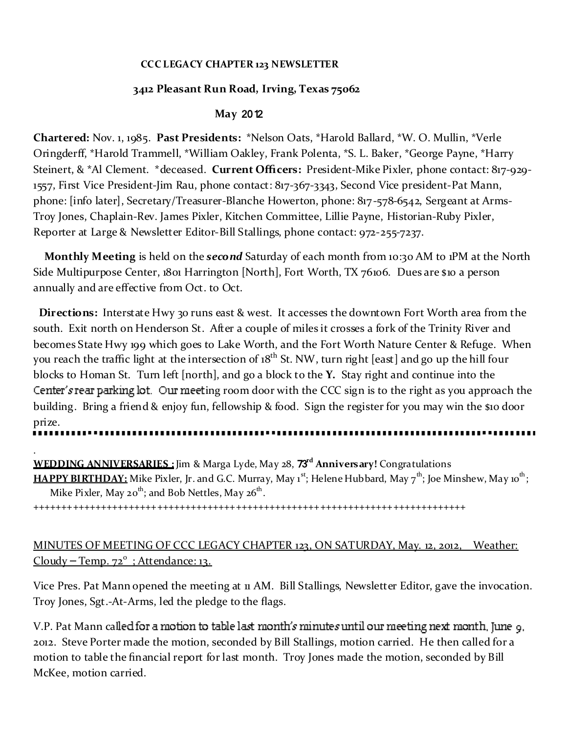#### **CCC LEGACY CHAPTER 123 NEWSLETTER**

## **3412 Pleasant Run Road, Irving, Texas 75062**

### **May** 2012

**Chartered:** Nov. 1, 1985. **Past Presidents:** \*Nelson Oats, \*Harold Ballard, \*W. O. Mullin, \*Verle Oringderff, \*Harold Trammell, \*William Oakley, Frank Polenta, \*S. L. Baker, \*George Payne, \*Harry Steinert, & \*Al Clement. \*deceased. **Current Officers:** President-Mike Pixler, phone contact: 817-929- 1557, First Vice President-Jim Rau, phone contact: 817-367-3343, Second Vice president-Pat Mann, phone: [info later], Secretary/Treasurer-Blanche Howerton, phone: 817-578-6542, Sergeant at Arms-Troy Jones, Chaplain-Rev. James Pixler, Kitchen Committee, Lillie Payne, Historian-Ruby Pixler, Reporter at Large & Newsletter Editor-Bill Stallings, phone contact: 972-255-7237.

**Monthly Meeting** is held on the *second* Saturday of each month from 10:30 AM to 1PM at the North Side Multipurpose Center, 1801 Harrington [North], Fort Worth, TX 76106. Dues are \$10 a person annually and are effective from Oct. to Oct.

**Directions:** Interstate Hwy 30 runs east & west. It accesses the downtown Fort Worth area from the south. Exit north on Henderson St. After a couple of miles it crosses a fork of the Trinity River and becomes State Hwy 199 which goes to Lake Worth, and the Fort Worth Nature Center & Refuge. When you reach the traffic light at the intersection of 18<sup>th</sup> St. NW, turn right [east] and go up the hill four blocks to Homan St. Turn left [north], and go a block to the **Y.** Stay right and continue into the Center's rear parking lot. Our meeting room door with the CCC sign is to the right as you approach the building. Bring a friend & enjoy fun, fellowship & food. Sign the register for you may win the \$10 door prize.

. **WEDDING ANNIVERSARIES :** Jim & Marga Lyde, May 28, 73**rd Anniversary!** Congratulations **HAPPY BIRTHDAY:** Mike Pixler, Jr. and G.C. Murray, May 1<sup>st</sup>; Helene Hubbard, May 7<sup>th</sup>; Joe Minshew, May 10<sup>th</sup>; Mike Pixler, May 20<sup>th</sup>; and Bob Nettles, May 26<sup>th</sup>.

+++++++++++++++++++++++++++++++++++++++++++++++++++++++++++++++++++++++++++++

# MINUTES OF MEETING OF CCC LEGACY CHAPTER 123, ON SATURDAY, May. 12, 2012, Weather: Cloudy – Temp. 72<sup>°</sup>; Attendance: 13.

Vice Pres. Pat Mann opened the meeting at 11 AM. Bill Stallings, Newsletter Editor, gave the invocation. Troy Jones, Sgt.-At-Arms, led the pledge to the flags.

V.P. Pat Mann called for a motion to table last month's minutes until our meeting next month, June 9. 2012. Steve Porter made the motion, seconded by Bill Stallings, motion carried. He then called for a motion to table the financial report for last month. Troy Jones made the motion, seconded by Bill McKee, motion carried.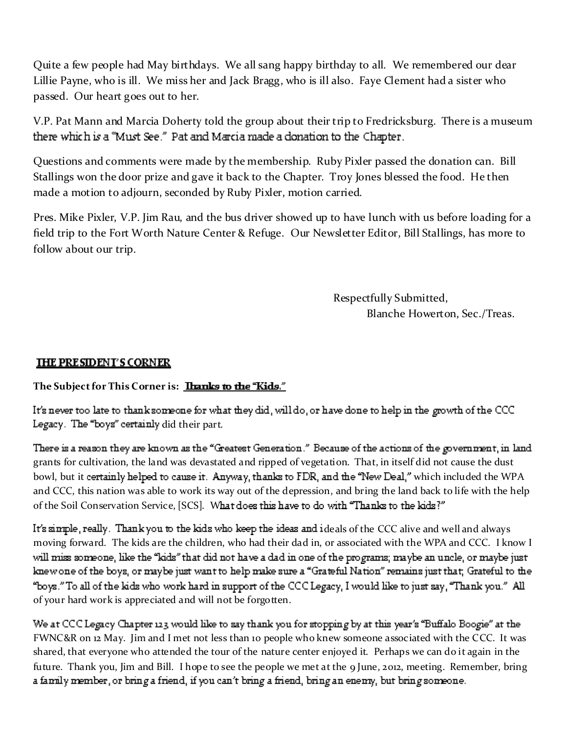Quite a few people had May birthdays. We all sang happy birthday to all. We remembered our dear Lillie Payne, who is ill. We miss her and Jack Bragg, who is ill also. Faye Clement had a sister who passed. Our heart goes out to her.

V.P. Pat Mann and Marcia Doherty told the group about their trip to Fredricksburg. There is a museum there which is a "Must See." Pat and Marcia made a donation to the Chapter.

Questions and comments were made by the membership. Ruby Pixler passed the donation can. Bill Stallings won the door prize and gave it back to the Chapter. Troy Jones blessed the food. He then made a motion to adjourn, seconded by Ruby Pixler, motion carried.

Pres. Mike Pixler, V.P. Jim Rau, and the bus driver showed up to have lunch with us before loading for a field trip to the Fort Worth Nature Center & Refuge. Our Newsletter Editor, Bill Stallings, has more to follow about our trip.

> Respectfully Submitted, Blanche Howerton, Sec./Treas.

## **THE PRESIDENT'S CORNER**

# **The Sub ject for This Corner is:**

It's never too late to thank someone for what they did, will do, or have done to help in the growth of the CCC Legacy. The "boys" certainly did their part.

There is a reason they are known as the "Greatest Generation." Because of the actions of the government, in land grants for cultivation, the land was devastated and ripped of vegetation. That, in itself did not cause the dust bowl, but it certainly helped to cause it. Anyway, thanks to FDR, and the "New Deal," which included the WPA and CCC, this nation was able to work its way out of the depression, and bring the land back to life with the help of the Soil Conservation Service, [SCS]. What does this have to do with "Thanks to the kids?"

It's simple, really. Thank you to the kids who keep the ideas and ideals of the CCC alive and well and always moving forward. The kids are the children, who had their dad in, or associated with the WPA and CCC. I know I will miss someone, like the "kids" that did not have a dad in one of the programs; maybe an uncle, or maybe just knew one of the boys, or maybe just want to help make sure a "Grateful Nation" remains just that; Grateful to the "boys." To all of the kids who work hard in support of the CCC Legacy, I would like to just say, "Thank you." All of your hard work is appreciated and will not be forgotten.

We at CCC Legacy Chapter 123 would like to say thank you for stopping by at this year's "Buffalo Boogie" at the FWNC&R on 12 May. Jim and I met not less than 10 people who knew someone associated with the CCC. It was shared, that everyone who attended the tour of the nature center enjoyed it. Perhaps we can do it again in the future. Thank you, Jim and Bill. I hope to see the people we met at the 9 June, 2012, meeting. Remember, bringa family member, or bring a friend, if you can't bring a friend, bring an enemy, but bring someone.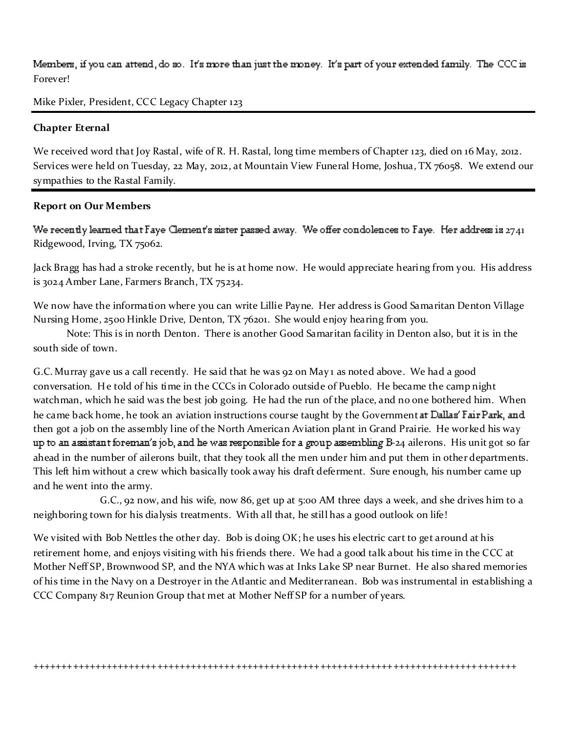# Members, if you can attend, do so. It's more than just the money. It's part of your extended family. The CCC is Forever!

Mike Pixler, President, CCC Legacy Chapter 123

#### **Chapter Eternal**

We received word that Joy Rastal, wife of R. H. Rastal, long time members of Chapter 123, died on 16 May, 2012. Services were held on Tuesday, 22 May, 2012, at Mountain View Funeral Home, Joshua, TX 76058. We extend our sympathies to the Rastal Family.

#### **Report on Our Members**

We recently learned that Faye Clement's sister passed away. We offer condolences to Faye. Her address is  $2741$ Ridgewood, Irving, TX 75062.

Jack Bragg has had a stroke recently, but he is at home now. He would appreciate hearing from you. His address is 3024 Amber Lane, Farmers Branch, TX 75234.

We now have the information where you can write Lillie Payne. Her address is Good Samaritan Denton Village Nursing Home, 2500 Hinkle Drive, Denton, TX 76201. She would enjoy hearing from you.

Note: This is in north Denton. There is another Good Samaritan facility in Denton also, but it is in the south side of town.

G.C. Murray gave us a call recently. He said that he was 92 on May 1 as noted above. We had a good conversation. He told of his time in the CCCs in Colorado outside of Pueblo. He became the camp night watchman, which he said was the best job going. He had the run of the place, and no one bothered him. When he came back home, he took an aviation instructions course taught by the Government at Dallas' Fair Park, and then got a job on the assembly line of the North American Aviation plant in Grand Prairie. He worked his way up to an assistant foreman's job, and he was responsible for a group assembling B-24 ailerons. His unit got so far ahead in the number of ailerons built, that they took all the men under him and put them in other departments. This left him without a crew which basically took away his draft deferment. Sure enough, his number came up and he went into the army.

G.C., 92 now, and his wife, now 86, get up at 5:00 AM three days a week, and she drives him to a neighboring town for his dialysis treatments. With all that, he still has a good outlook on life!

We visited with Bob Nettles the other day. Bob is doing OK; he uses his electric cart to get around at his retirement home, and enjoys visiting with his friends there. We had a good talk about his time in the CCC at Mother Neff SP, Brownwood SP, and the NYA which was at Inks Lake SP near Burnet. He also shared memories of his time in the Navy on a Destroyer in the Atlantic and Mediterranean. Bob was instrumental in establishing a CCC Company 817 Reunion Group that met at Mother Neff SP for a number of years.

++++++++++++++++++++++++++++++++++++++++++++++++++++++++++++++++++++++++++++++++++++++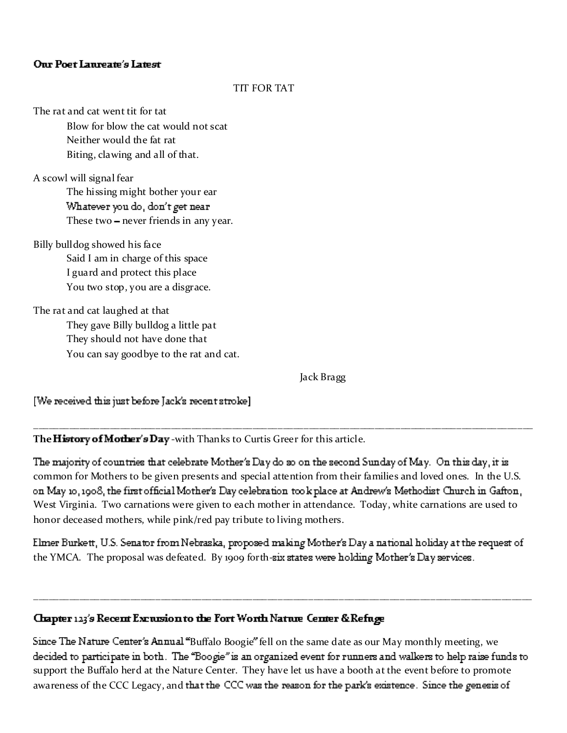#### Our Poet Laureate's Latest

#### TIT FOR TAT

The rat and cat went tit for tat

Blow for blow the cat would not scat Neither would the fat rat Biting, clawing and all of that.

A scowl will signal fear The hissing might bother your ear Whatever you do, don't get near These two - never friends in any year.

Billy bulldog showed his face Said I am in charge of this space I guard and protect this place You two stop, you are a disgrace.

The rat and cat laughed at that They gave Billy bulldog a little pat They should not have done that You can say goodbye to the rat and cat.

Jack Bragg

[We received this just before Jack's recent stroke]

The History of Mother's Day -with Thanks to Curtis Greer for this article.

The majority of countries that celebrate Mother's Day do so on the second Sunday of May. On this day, it is common for Mothers to be given presents and special attention from their families and loved ones. In the U.S. on May 10, 1908, the first official Mother's Day celebration took place at Andrew's Methodist Church in Gafton, West Virginia. Two carnations were given to each mother in attendance. Today, white carnations are used to honor deceased mothers, while pink/red pay tribute to living mothers.

\_\_\_\_\_\_\_\_\_\_\_\_\_\_\_\_\_\_\_\_\_\_\_\_\_\_\_\_\_\_\_\_\_\_\_\_\_\_\_\_\_\_\_\_\_\_\_\_\_\_\_\_\_\_\_\_\_\_\_\_\_\_\_\_\_\_\_\_\_\_\_\_\_\_\_\_\_\_\_\_\_\_\_\_\_\_\_\_\_\_\_\_\_\_\_\_\_\_

Elmer Burkett, U.S. Senator from Nebraska, proposed making Mother's Day a national holiday at the request of the YMCA. The proposal was defeated. By 1909 forth-six states were holding Mother's Day services.

\_\_\_\_\_\_\_\_\_\_\_\_\_\_\_\_\_\_\_\_\_\_\_\_\_\_\_\_\_\_\_\_\_\_\_\_\_\_\_\_\_\_\_\_\_\_\_\_\_\_\_\_\_\_\_\_\_\_\_\_\_\_\_\_\_\_\_\_\_\_\_\_\_\_\_\_\_\_\_\_\_\_\_\_\_\_\_\_\_\_\_\_\_\_\_\_\_\_

### Chapter 123's Recent Excrusion to the Fort Worth Natrue Center & Refuge

Since The Nature Center's Annual "Buffalo Boogie" fell on the same date as our May monthly meeting, we decided to participate in both. The "Boogie" is an organized event for runners and walkers to help raise funds to support the Buffalo herd at the Nature Center. They have let us have a booth at the event before to promote awareness of the CCC Legacy, and that the CCC was the reason for the park's existence. Since the genesis of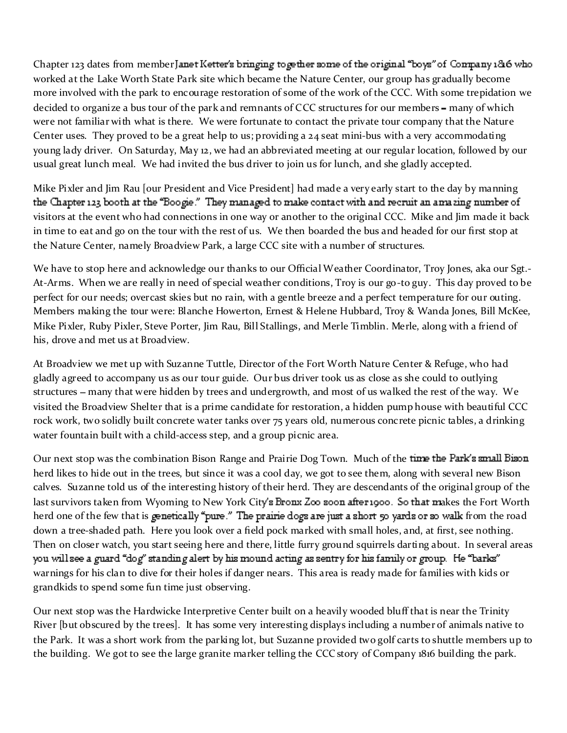Chapter 123 dates from member Janet Ketter's bringing together some of the original "boys" of Conmany 1816 who worked at the Lake Worth State Park site which became the Nature Center, our group has gradually become more involved with the park to encourage restoration of some of the work of the CCC. With some trepidation we decided to organize a bus tour of the park and remnants of CCC structures for our members – many of which were not familiar with what is there. We were fortunate to contact the private tour company that the Nature Center uses. They proved to be a great help to us; providing a 24 seat mini-bus with a very accommodating young lady driver. On Saturday, May 12, we had an abbreviated meeting at our regular location, followed by our usual great lunch meal. We had invited the bus driver to join us for lunch, and she gladly accepted.

Mike Pixler and Jim Rau [our President and Vice President] had made a very early start to the day by manning the Chapter 123 booth at the "Boogie." They managed to make contact with and recruit an amazing number of visitors at the event who had connections in one way or another to the original CCC. Mike and Jim made it back in time to eat and go on the tour with the rest of us. We then boarded the bus and headed for our first stop at the Nature Center, namely Broadview Park, a large CCC site with a number of structures.

We have to stop here and acknowledge our thanks to our Official Weather Coordinator, Troy Jones, aka our Sgt.-At-Arms. When we are really in need of special weather conditions, Troy is our go-to guy. This day proved to be perfect for our needs; overcast skies but no rain, with a gentle breeze and a perfect temperature for our outing. Members making the tour were: Blanche Howerton, Ernest & Helene Hubbard, Troy & Wanda Jones, Bill McKee, Mike Pixler, Ruby Pixler, Steve Porter, Jim Rau, Bill Stallings, and Merle Timblin. Merle, along with a friend of his, drove and met us at Broadview.

At Broadview we met up with Suzanne Tuttle, Director of the Fort Worth Nature Center & Refuge, who had gladly agreed to accompany us as our tour guide. Our bus driver took us as close as she could to outlying structures – many that were hidden by trees and undergrowth, and most of us walked the rest of the way. We visited the Broadview Shelter that is a prime candidate for restoration, a hidden pump house with beautiful CCC rock work, two solidly built concrete water tanks over 75 years old, numerous concrete picnic tables, a drinking water fountain built with a child-access step, and a group picnic area.

Our next stop was the combination Bison Range and Prairie Dog Town. Much of the time the Park's small Bison herd likes to hide out in the trees, but since it was a cool day, we got to see them, along with several new Bison calves. Suzanne told us of the interesting history of their herd. They are descendants of the original group of the last survivors taken from Wyoming to New York City's Bronx Zoo soon after 1900. So that makes the Fort Worth herd one of the few that is genetically "pure." The prairie dogs are just a short 50 yards or so walk from the road down a tree-shaded path. Here you look over a field pock marked with small holes, and, at first, see nothing. Then on closer watch, you start seeing here and there, little furry ground squirrels darting about. In several areas you will see a guard "dog" standing alert by his mound acting as sentry for his family or group. He "barks" warnings for his clan to dive for their holes if danger nears. This area is ready made for families with kids or grandkids to spend some fun time just observing.

Our next stop was the Hardwicke Interpretive Center built on a heavily wooded bluff that is near the Trinity River [but obscured by the trees]. It has some very interesting displays including a number of animals native to the Park. It was a short work from the parking lot, but Suzanne provided two golf carts to shuttle members up to the building. We got to see the large granite marker telling the CCC story of Company 1816 building the park.